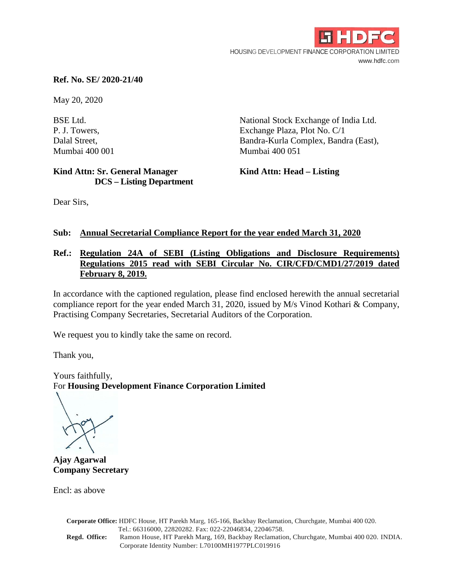

### **Ref. No. SE/ 2020-21/40**

May 20, 2020

**Kind Attn: Sr. General Manager Kind Attn: Head – Listing DCS – Listing Department** 

BSE Ltd. National Stock Exchange of India Ltd. P. J. Towers, Exchange Plaza, Plot No. C/1 Dalal Street, Bandra-Kurla Complex, Bandra (East), Mumbai 400 001 Mumbai 400 051

Dear Sirs,

## **Sub: Annual Secretarial Compliance Report for the year ended March 31, 2020**

## **Ref.: Regulation 24A of SEBI (Listing Obligations and Disclosure Requirements) Regulations 2015 read with SEBI Circular No. CIR/CFD/CMD1/27/2019 dated February 8, 2019.**

In accordance with the captioned regulation, please find enclosed herewith the annual secretarial compliance report for the year ended March 31, 2020, issued by M/s Vinod Kothari & Company, Practising Company Secretaries, Secretarial Auditors of the Corporation.

We request you to kindly take the same on record.

Thank you,

Yours faithfully, For **Housing Development Finance Corporation Limited**

**Ajay Agarwal Company Secretary**

Encl: as above

|               | Corporate Office: HDFC House, HT Parekh Marg, 165-166, Backbay Reclamation, Churchgate, Mumbai 400 020. |
|---------------|---------------------------------------------------------------------------------------------------------|
|               | Tel.: 66316000, 22820282. Fax: 022-22046834, 22046758.                                                  |
| Regd. Office: | Ramon House, HT Parekh Marg, 169, Backbay Reclamation, Churchgate, Mumbai 400 020. INDIA.               |
|               | Corporate Identity Number: L70100MH1977PLC019916                                                        |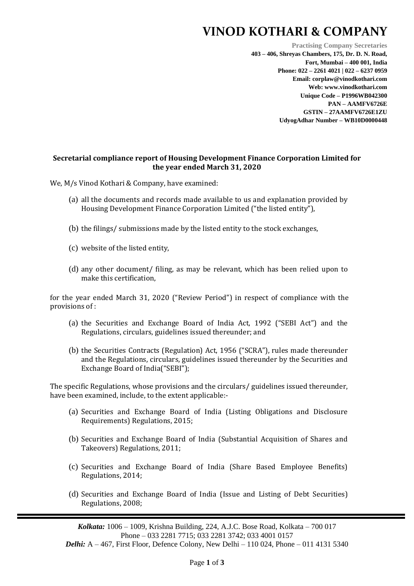## **VINOD KOTHARI & COMPANY**

**Practising Company Secretaries 403 – 406, Shreyas Chambers, 175, Dr. D. N. Road, Fort, Mumbai – 400 001, India Phone: 022 – 2261 4021 | 022 – 6237 0959 Email: corplaw@vinodkothari.com Web: www.vinodkothari.com Unique Code – P1996WB042300 PAN – AAMFV6726E GSTIN – 27AAMFV6726E1ZU UdyogAdhar Number – WB10D0000448**

#### **Secretarial compliance report of Housing Development Finance Corporation Limited for the year ended March 31, 2020**

We, M/s Vinod Kothari & Company, have examined:

- (a) all the documents and records made available to us and explanation provided by Housing Development Finance Corporation Limited ("the listed entity"),
- (b) the filings/ submissions made by the listed entity to the stock exchanges,
- (c) website of the listed entity,
- (d) any other document/ filing, as may be relevant, which has been relied upon to make this certification,

for the year ended March 31, 2020 ("Review Period") in respect of compliance with the provisions of :

- (a) the Securities and Exchange Board of India Act, 1992 ("SEBI Act") and the Regulations, circulars, guidelines issued thereunder; and
- (b) the Securities Contracts (Regulation) Act, 1956 ("SCRA"), rules made thereunder and the Regulations, circulars, guidelines issued thereunder by the Securities and Exchange Board of India("SEBI");

The specific Regulations, whose provisions and the circulars/ guidelines issued thereunder, have been examined, include, to the extent applicable:-

- (a) Securities and Exchange Board of India (Listing Obligations and Disclosure Requirements) Regulations, 2015;
- (b) Securities and Exchange Board of India (Substantial Acquisition of Shares and Takeovers) Regulations, 2011;
- (c) Securities and Exchange Board of India (Share Based Employee Benefits) Regulations, 2014;
- (d) Securities and Exchange Board of India (Issue and Listing of Debt Securities) Regulations, 2008;

*Kolkata:* 1006 – 1009, Krishna Building, 224, A.J.C. Bose Road, Kolkata – 700 017 Phone – 033 2281 7715; 033 2281 3742; 033 4001 0157

*Delhi: A - 467, First Floor, Defence Colony, New Delhi - 110 024, Phone - 011 4131 5340*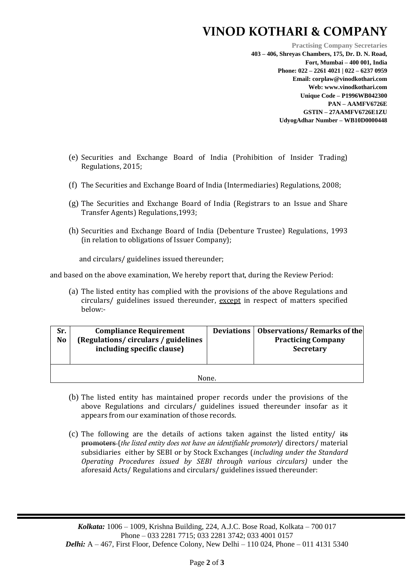# **VINOD KOTHARI & COMPANY**

**Practising Company Secretaries 403 – 406, Shreyas Chambers, 175, Dr. D. N. Road, Fort, Mumbai – 400 001, India Phone: 022 – 2261 4021 | 022 – 6237 0959 Email: corplaw@vinodkothari.com Web: www.vinodkothari.com Unique Code – P1996WB042300 PAN – AAMFV6726E GSTIN – 27AAMFV6726E1ZU UdyogAdhar Number – WB10D0000448**

- (e) Securities and Exchange Board of India (Prohibition of Insider Trading) Regulations, 2015;
- (f) The Securities and Exchange Board of India (Intermediaries) Regulations, 2008;
- (g) The Securities and Exchange Board of India (Registrars to an Issue and Share Transfer Agents) Regulations,1993;
- (h) Securities and Exchange Board of India (Debenture Trustee) Regulations, 1993 (in relation to obligations of Issuer Company);

and circulars/ guidelines issued thereunder;

and based on the above examination, We hereby report that, during the Review Period:

(a) The listed entity has complied with the provisions of the above Regulations and circulars/ guidelines issued thereunder, except in respect of matters specified below:-

| Sr.<br><b>Compliance Requirement</b><br>(Regulations/circulars/guidelines<br><b>No</b><br>including specific clause) |  |  | Deviations   Observations/ Remarks of the<br><b>Practicing Company</b><br><b>Secretary</b> |  |  |  |  |
|----------------------------------------------------------------------------------------------------------------------|--|--|--------------------------------------------------------------------------------------------|--|--|--|--|
| None.                                                                                                                |  |  |                                                                                            |  |  |  |  |

- (b) The listed entity has maintained proper records under the provisions of the above Regulations and circulars/ guidelines issued thereunder insofar as it appears from our examination of those records.
- (c) The following are the details of actions taken against the listed entity/ its promoters (*the listed entity does not have an identifiable promoter*)/ directors/ material subsidiaries either by SEBI or by Stock Exchanges (*including under the Standard Operating Procedures issued by SEBI through various circulars)* under the aforesaid Acts/ Regulations and circulars/ guidelines issued thereunder:

*Kolkata:* 1006 – 1009, Krishna Building, 224, A.J.C. Bose Road, Kolkata – 700 017 Phone – 033 2281 7715; 033 2281 3742; 033 4001 0157 *Delhi: A – 467, First Floor, Defence Colony, New Delhi – 110 024, Phone – 011 4131 5340*